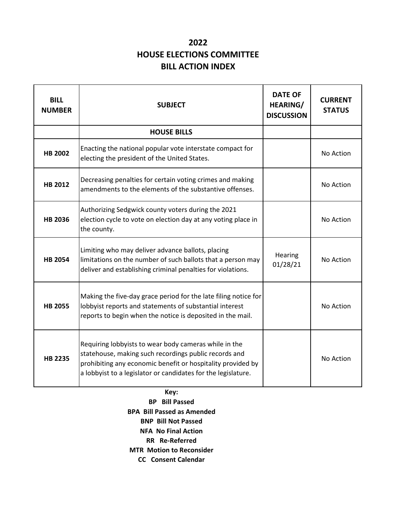## **2022 HOUSE ELECTIONS COMMITTEE BILL ACTION INDEX**

| <b>BILL</b><br><b>NUMBER</b> | <b>SUBJECT</b>                                                                                                                                                                                                                                 | <b>DATE OF</b><br><b>HEARING/</b><br><b>DISCUSSION</b> | <b>CURRENT</b><br><b>STATUS</b> |
|------------------------------|------------------------------------------------------------------------------------------------------------------------------------------------------------------------------------------------------------------------------------------------|--------------------------------------------------------|---------------------------------|
|                              | <b>HOUSE BILLS</b>                                                                                                                                                                                                                             |                                                        |                                 |
| <b>HB 2002</b>               | Enacting the national popular vote interstate compact for<br>electing the president of the United States.                                                                                                                                      |                                                        | No Action                       |
| <b>HB 2012</b>               | Decreasing penalties for certain voting crimes and making<br>amendments to the elements of the substantive offenses.                                                                                                                           |                                                        | No Action                       |
| <b>HB 2036</b>               | Authorizing Sedgwick county voters during the 2021<br>election cycle to vote on election day at any voting place in<br>the county.                                                                                                             |                                                        | No Action                       |
| <b>HB 2054</b>               | Limiting who may deliver advance ballots, placing<br>limitations on the number of such ballots that a person may<br>deliver and establishing criminal penalties for violations.                                                                | Hearing<br>01/28/21                                    | No Action                       |
| <b>HB 2055</b>               | Making the five-day grace period for the late filing notice for<br>lobbyist reports and statements of substantial interest<br>reports to begin when the notice is deposited in the mail.                                                       |                                                        | No Action                       |
| <b>HB 2235</b>               | Requiring lobbyists to wear body cameras while in the<br>statehouse, making such recordings public records and<br>prohibiting any economic benefit or hospitality provided by<br>a lobbyist to a legislator or candidates for the legislature. |                                                        | No Action                       |

**Key: BP Bill Passed BPA Bill Passed as Amended BNP Bill Not Passed NFA No Final Action RR Re-Referred MTR Motion to Reconsider CC Consent Calendar**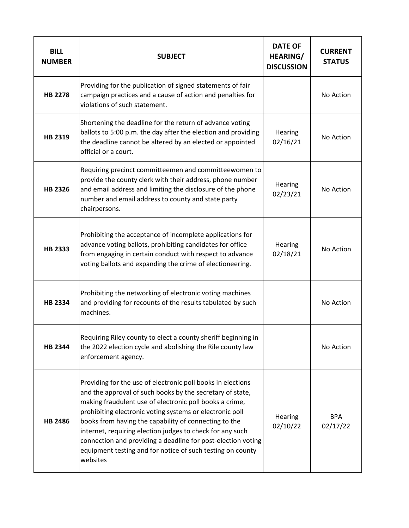| <b>BILL</b><br><b>NUMBER</b> | <b>SUBJECT</b>                                                                                                                                                                                                                                                                                                                                                                                                                                                                                                  | <b>DATE OF</b><br><b>HEARING/</b><br><b>DISCUSSION</b> | <b>CURRENT</b><br><b>STATUS</b> |
|------------------------------|-----------------------------------------------------------------------------------------------------------------------------------------------------------------------------------------------------------------------------------------------------------------------------------------------------------------------------------------------------------------------------------------------------------------------------------------------------------------------------------------------------------------|--------------------------------------------------------|---------------------------------|
| <b>HB 2278</b>               | Providing for the publication of signed statements of fair<br>campaign practices and a cause of action and penalties for<br>violations of such statement.                                                                                                                                                                                                                                                                                                                                                       |                                                        | No Action                       |
| HB 2319                      | Shortening the deadline for the return of advance voting<br>ballots to 5:00 p.m. the day after the election and providing<br>the deadline cannot be altered by an elected or appointed<br>official or a court.                                                                                                                                                                                                                                                                                                  | Hearing<br>02/16/21                                    | No Action                       |
| <b>HB 2326</b>               | Requiring precinct committeemen and committeewomen to<br>provide the county clerk with their address, phone number<br>and email address and limiting the disclosure of the phone<br>number and email address to county and state party<br>chairpersons.                                                                                                                                                                                                                                                         | Hearing<br>02/23/21                                    | No Action                       |
| <b>HB 2333</b>               | Prohibiting the acceptance of incomplete applications for<br>advance voting ballots, prohibiting candidates for office<br>from engaging in certain conduct with respect to advance<br>voting ballots and expanding the crime of electioneering.                                                                                                                                                                                                                                                                 | Hearing<br>02/18/21                                    | No Action                       |
| <b>HB 2334</b>               | Prohibiting the networking of electronic voting machines<br>and providing for recounts of the results tabulated by such<br>machines.                                                                                                                                                                                                                                                                                                                                                                            |                                                        | No Action                       |
| <b>HB 2344</b>               | Requiring Riley county to elect a county sheriff beginning in<br>the 2022 election cycle and abolishing the Rile county law<br>enforcement agency.                                                                                                                                                                                                                                                                                                                                                              |                                                        | No Action                       |
| <b>HB 2486</b>               | Providing for the use of electronic poll books in elections<br>and the approval of such books by the secretary of state,<br>making fraudulent use of electronic poll books a crime,<br>prohibiting electronic voting systems or electronic poll<br>books from having the capability of connecting to the<br>internet, requiring election judges to check for any such<br>connection and providing a deadline for post-election voting<br>equipment testing and for notice of such testing on county<br>websites | Hearing<br>02/10/22                                    | <b>BPA</b><br>02/17/22          |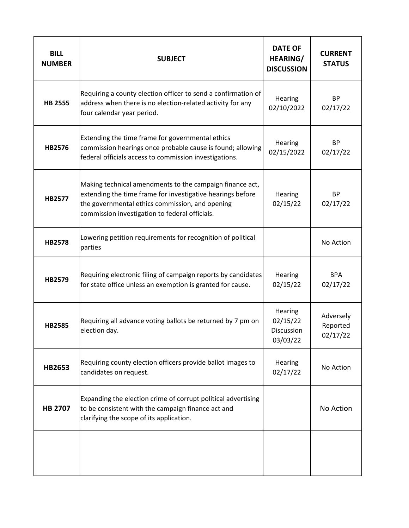| <b>BILL</b><br><b>NUMBER</b> | <b>SUBJECT</b>                                                                                                                                                                                                              | <b>DATE OF</b><br>HEARING/<br><b>DISCUSSION</b>      | <b>CURRENT</b><br><b>STATUS</b>   |
|------------------------------|-----------------------------------------------------------------------------------------------------------------------------------------------------------------------------------------------------------------------------|------------------------------------------------------|-----------------------------------|
| <b>HB 2555</b>               | Requiring a county election officer to send a confirmation of<br>address when there is no election-related activity for any<br>four calendar year period.                                                                   | Hearing<br>02/10/2022                                | <b>BP</b><br>02/17/22             |
| HB2576                       | Extending the time frame for governmental ethics<br>commission hearings once probable cause is found; allowing<br>federal officials access to commission investigations.                                                    | Hearing<br>02/15/2022                                | <b>BP</b><br>02/17/22             |
| <b>HB2577</b>                | Making technical amendments to the campaign finance act,<br>extending the time frame for investigative hearings before<br>the governmental ethics commission, and opening<br>commission investigation to federal officials. | Hearing<br>02/15/22                                  | <b>BP</b><br>02/17/22             |
| <b>HB2578</b>                | Lowering petition requirements for recognition of political<br>parties                                                                                                                                                      |                                                      | No Action                         |
| HB2579                       | Requiring electronic filing of campaign reports by candidates<br>for state office unless an exemption is granted for cause.                                                                                                 | Hearing<br>02/15/22                                  | <b>BPA</b><br>02/17/22            |
| <b>HB2585</b>                | Requiring all advance voting ballots be returned by 7 pm on<br>election day.                                                                                                                                                | Hearing<br>02/15/22<br><b>Discussion</b><br>03/03/22 | Adversely<br>Reported<br>02/17/22 |
| <b>HB2653</b>                | Requiring county election officers provide ballot images to<br>candidates on request.                                                                                                                                       | Hearing<br>02/17/22                                  | No Action                         |
| <b>HB 2707</b>               | Expanding the election crime of corrupt political advertising<br>to be consistent with the campaign finance act and<br>clarifying the scope of its application.                                                             |                                                      | No Action                         |
|                              |                                                                                                                                                                                                                             |                                                      |                                   |